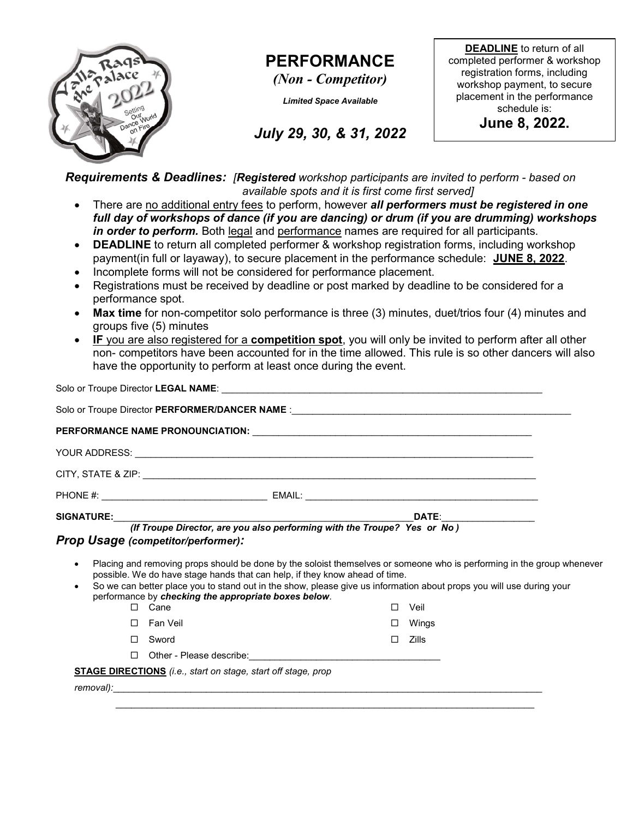

## PERFORMANCE

(Non - Competitor)

Limited Space Available

DEADLINE to return of all completed performer & workshop registration forms, including workshop payment, to secure placement in the performance schedule is:

June 8, 2022.

July 29, 30, & 31, 2022

Requirements & Deadlines: [Registered workshop participants are invited to perform - based on available spots and it is first come first served]

- There are no additional entry fees to perform, however all performers must be registered in one full day of workshops of dance (if you are dancing) or drum (if you are drumming) workshops in order to perform. Both legal and performance names are required for all participants.
- DEADLINE to return all completed performer & workshop registration forms, including workshop payment(in full or layaway), to secure placement in the performance schedule: JUNE 8, 2022.
- Incomplete forms will not be considered for performance placement.
- Registrations must be received by deadline or post marked by deadline to be considered for a performance spot.
- Max time for non-competitor solo performance is three (3) minutes, duet/trios four (4) minutes and groups five (5) minutes
- IF you are also registered for a competition spot, you will only be invited to perform after all other non- competitors have been accounted for in the time allowed. This rule is so other dancers will also have the opportunity to perform at least once during the event.

Solo or Troupe Director LEGAL NAME: Solo or Troupe Director PERFORMER/DANCER NAME : PERFORMANCE NAME PRONOUNCIATION:  $\blacksquare$ YOUR ADDRESS: \_\_\_\_\_\_\_\_\_\_\_\_\_\_\_\_\_\_\_\_\_\_\_\_\_\_\_\_\_\_\_\_\_\_\_\_\_\_\_\_\_\_\_\_\_\_\_\_\_\_\_\_\_\_\_\_\_\_\_\_\_\_\_\_\_\_\_\_\_\_\_\_\_\_\_\_\_ CITY, STATE & ZIP: \_\_\_\_\_\_\_\_\_\_\_\_\_\_\_\_\_\_\_\_\_\_\_\_\_\_\_\_\_\_\_\_\_\_\_\_\_\_\_\_\_\_\_\_\_\_\_\_\_\_\_\_\_\_\_\_\_\_\_\_\_\_\_\_\_\_\_\_\_\_\_\_\_\_\_\_ PHONE #: \_\_\_\_\_\_\_\_\_\_\_\_\_\_\_\_\_\_\_\_\_\_\_\_\_\_\_\_\_\_\_\_ EMAIL: \_\_\_\_\_\_\_\_\_\_\_\_\_\_\_\_\_\_\_\_\_\_\_\_\_\_\_\_\_\_\_\_\_\_\_\_\_\_\_\_\_\_\_\_\_ SIGNATURE:\_\_\_\_\_\_\_\_\_\_\_\_\_\_\_\_\_\_\_\_\_\_\_\_\_\_\_\_\_\_\_\_\_\_\_\_\_\_\_\_\_\_\_\_\_\_\_\_\_\_\_\_\_\_\_\_\_\_DATE:\_\_\_\_\_\_\_\_\_\_\_\_\_\_\_\_\_\_ (If Troupe Director, are you also performing with the Troupe? Yes or No ) Prop Usage (competitor/performer): Placing and removing props should be done by the soloist themselves or someone who is performing in the group whenever possible. We do have stage hands that can help, if they know ahead of time. So we can better place you to stand out in the show, please give us information about props you will use during your performance by checking the appropriate boxes below. □ Cane Fan Veil Sword □ Veil Wings  $\Box$  Zills  $\Box$  Other - Please describe: STAGE DIRECTIONS (i.e., start on stage, start off stage, prop removal):\_\_\_\_\_\_\_\_\_\_\_\_\_\_\_\_\_\_\_\_\_\_\_\_\_\_\_\_\_\_\_\_\_\_\_\_\_\_\_\_\_\_\_\_\_\_\_\_\_\_\_\_\_\_\_\_\_\_\_\_\_\_\_\_\_\_\_\_\_\_\_\_\_\_\_\_\_\_\_\_\_\_\_  $\mathcal{L}_\mathcal{L} = \{ \mathcal{L}_\mathcal{L} = \{ \mathcal{L}_\mathcal{L} = \{ \mathcal{L}_\mathcal{L} = \{ \mathcal{L}_\mathcal{L} = \{ \mathcal{L}_\mathcal{L} = \{ \mathcal{L}_\mathcal{L} = \{ \mathcal{L}_\mathcal{L} = \{ \mathcal{L}_\mathcal{L} = \{ \mathcal{L}_\mathcal{L} = \{ \mathcal{L}_\mathcal{L} = \{ \mathcal{L}_\mathcal{L} = \{ \mathcal{L}_\mathcal{L} = \{ \mathcal{L}_\mathcal{L} = \{ \mathcal{L}_\mathcal{$